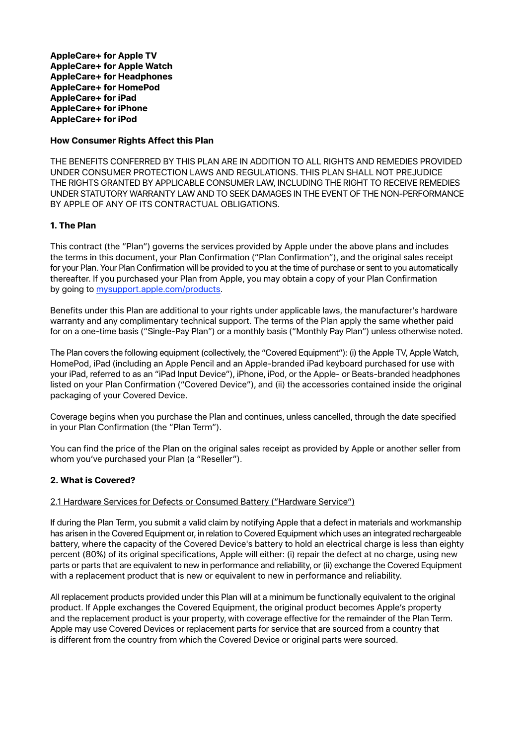**AppleCare+ for Apple TV AppleCare+ for Apple Watch AppleCare+ for Headphones AppleCare+ for HomePod AppleCare+ for iPad AppleCare+ for iPhone AppleCare+ for iPod** 

### **How Consumer Rights Affect this Plan**

THE BENEFITS CONFERRED BY THIS PLAN ARE IN ADDITION TO ALL RIGHTS AND REMEDIES PROVIDED UNDER CONSUMER PROTECTION LAWS AND REGULATIONS. THIS PLAN SHALL NOT PREJUDICE THE RIGHTS GRANTED BY APPLICABLE CONSUMER LAW, INCLUDING THE RIGHT TO RECEIVE REMEDIES UNDER STATUTORY WARRANTY LAW AND TO SEEK DAMAGES IN THE EVENT OF THE NON-PERFORMANCE BY APPLE OF ANY OF ITS CONTRACTUAL OBLIGATIONS.

# **1. The Plan**

This contract (the "Plan") governs the services provided by Apple under the above plans and includes the terms in this document, your Plan Confirmation ("Plan Confirmation"), and the original sales receipt for your Plan. Your Plan Confirmation will be provided to you at the time of purchase or sent to you automatically thereafter. If you purchased your Plan from Apple, you may obtain a copy of your Plan Confirmation by going to [mysupport.apple.com/products.](http://mysupport.apple.com/products)

Benefits under this Plan are additional to your rights under applicable laws, the manufacturer's hardware warranty and any complimentary technical support. The terms of the Plan apply the same whether paid for on a one-time basis ("Single-Pay Plan") or a monthly basis ("Monthly Pay Plan") unless otherwise noted.

The Plan covers the following equipment (collectively, the "Covered Equipment"): (i) the Apple TV, Apple Watch, HomePod, iPad (including an Apple Pencil and an Apple-branded iPad keyboard purchased for use with your iPad, referred to as an "iPad Input Device"), iPhone, iPod, or the Apple- or Beats-branded headphones listed on your Plan Confirmation ("Covered Device"), and (ii) the accessories contained inside the original packaging of your Covered Device.

Coverage begins when you purchase the Plan and continues, unless cancelled, through the date specified in your Plan Confirmation (the "Plan Term").

You can find the price of the Plan on the original sales receipt as provided by Apple or another seller from whom you've purchased your Plan (a "Reseller").

### **2. What is Covered?**

### 2.1 Hardware Services for Defects or Consumed Battery ("Hardware Service")

If during the Plan Term, you submit a valid claim by notifying Apple that a defect in materials and workmanship has arisen in the Covered Equipment or, in relation to Covered Equipment which uses an integrated rechargeable battery, where the capacity of the Covered Device's battery to hold an electrical charge is less than eighty percent (80%) of its original specifications, Apple will either: (i) repair the defect at no charge, using new parts or parts that are equivalent to new in performance and reliability, or (ii) exchange the Covered Equipment with a replacement product that is new or equivalent to new in performance and reliability.

All replacement products provided under this Plan will at a minimum be functionally equivalent to the original product. If Apple exchanges the Covered Equipment, the original product becomes Apple's property and the replacement product is your property, with coverage effective for the remainder of the Plan Term. Apple may use Covered Devices or replacement parts for service that are sourced from a country that is different from the country from which the Covered Device or original parts were sourced.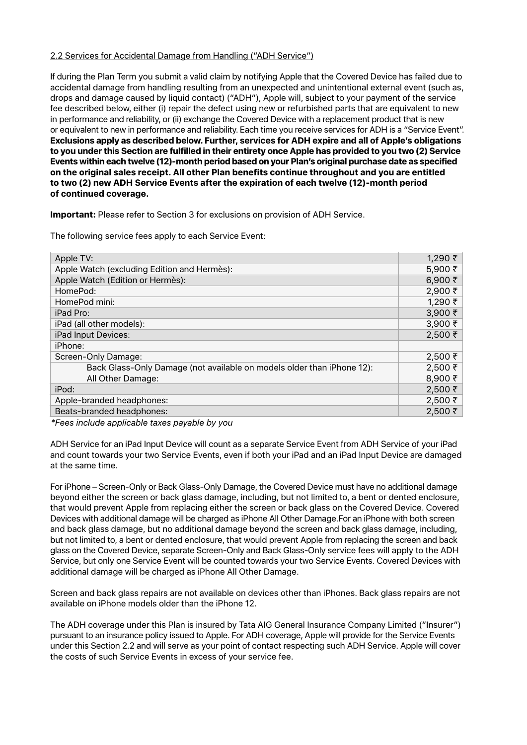#### 2.2 Services for Accidental Damage from Handling ("ADH Service")

If during the Plan Term you submit a valid claim by notifying Apple that the Covered Device has failed due to accidental damage from handling resulting from an unexpected and unintentional external event (such as, drops and damage caused by liquid contact) ("ADH"), Apple will, subject to your payment of the service fee described below, either (i) repair the defect using new or refurbished parts that are equivalent to new in performance and reliability, or (ii) exchange the Covered Device with a replacement product that is new or equivalent to new in performance and reliability. Each time you receive services for ADH is a "Service Event". **Exclusions apply as described below. Further, services for ADH expire and all of Apple's obligations to you under this Section are fulfilled in their entirety once Apple has provided to you two (2) Service Events within each twelve (12)-month period based on your Plan's original purchase date as specified on the original sales receipt. All other Plan benefits continue throughout and you are entitled to two (2) new ADH Service Events after the expiration of each twelve (12)-month period of continued coverage.**

**Important:** Please refer to Section 3 for exclusions on provision of ADH Service.

The following service fees apply to each Service Event:

| Apple TV:                                                              | 1,290 ₹       |
|------------------------------------------------------------------------|---------------|
| Apple Watch (excluding Edition and Hermès):                            | 5,900 ₹       |
| Apple Watch (Edition or Hermès):                                       | 6,900 ₹       |
| HomePod:                                                               | 2,900 ₹       |
| HomePod mini:                                                          | 1,290 ₹       |
| iPad Pro:                                                              | 3,900 ₹       |
| iPad (all other models):                                               | $3,900 \t{5}$ |
| iPad Input Devices:                                                    | 2,500 ₹       |
| iPhone:                                                                |               |
| Screen-Only Damage:                                                    | $2,500$ ₹     |
| Back Glass-Only Damage (not available on models older than iPhone 12): | 2,500 ₹       |
| All Other Damage:                                                      | 8,900 ₹       |
| iPod:                                                                  | 2,500 ₹       |
| Apple-branded headphones:                                              | $2,500$ ₹     |
| Beats-branded headphones:                                              | $2,500$ ₹     |

*\*Fees include applicable taxes payable by you* 

ADH Service for an iPad Input Device will count as a separate Service Event from ADH Service of your iPad and count towards your two Service Events, even if both your iPad and an iPad Input Device are damaged at the same time.

For iPhone – Screen-Only or Back Glass-Only Damage, the Covered Device must have no additional damage beyond either the screen or back glass damage, including, but not limited to, a bent or dented enclosure, that would prevent Apple from replacing either the screen or back glass on the Covered Device. Covered Devices with additional damage will be charged as iPhone All Other Damage.For an iPhone with both screen and back glass damage, but no additional damage beyond the screen and back glass damage, including, but not limited to, a bent or dented enclosure, that would prevent Apple from replacing the screen and back glass on the Covered Device, separate Screen-Only and Back Glass-Only service fees will apply to the ADH Service, but only one Service Event will be counted towards your two Service Events. Covered Devices with additional damage will be charged as iPhone All Other Damage.

Screen and back glass repairs are not available on devices other than iPhones. Back glass repairs are not available on iPhone models older than the iPhone 12.

The ADH coverage under this Plan is insured by Tata AIG General Insurance Company Limited ("Insurer") pursuant to an insurance policy issued to Apple. For ADH coverage, Apple will provide for the Service Events under this Section 2.2 and will serve as your point of contact respecting such ADH Service. Apple will cover the costs of such Service Events in excess of your service fee.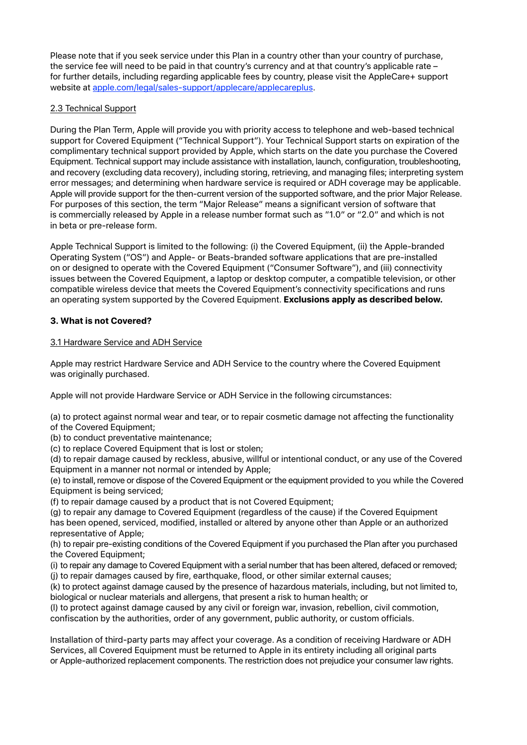Please note that if you seek service under this Plan in a country other than your country of purchase, the service fee will need to be paid in that country's currency and at that country's applicable rate – for further details, including regarding applicable fees by country, please visit the AppleCare+ support website at [apple.com/legal/sales-support/applecare/applecareplus.](http://www.apple.com/legal/sales-support/applecare/applecareplus/)

# 2.3 Technical Support

During the Plan Term, Apple will provide you with priority access to telephone and web-based technical support for Covered Equipment ("Technical Support"). Your Technical Support starts on expiration of the complimentary technical support provided by Apple, which starts on the date you purchase the Covered Equipment. Technical support may include assistance with installation, launch, configuration, troubleshooting, and recovery (excluding data recovery), including storing, retrieving, and managing files; interpreting system error messages; and determining when hardware service is required or ADH coverage may be applicable. Apple will provide support for the then-current version of the supported software, and the prior Major Release. For purposes of this section, the term "Major Release" means a significant version of software that is commercially released by Apple in a release number format such as "1.0" or "2.0" and which is not in beta or pre-release form.

Apple Technical Support is limited to the following: (i) the Covered Equipment, (ii) the Apple-branded Operating System ("OS") and Apple- or Beats-branded software applications that are pre-installed on or designed to operate with the Covered Equipment ("Consumer Software"), and (iii) connectivity issues between the Covered Equipment, a laptop or desktop computer, a compatible television, or other compatible wireless device that meets the Covered Equipment's connectivity specifications and runs an operating system supported by the Covered Equipment. **Exclusions apply as described below.** 

# **3. What is not Covered?**

# 3.1 Hardware Service and ADH Service

Apple may restrict Hardware Service and ADH Service to the country where the Covered Equipment was originally purchased.

Apple will not provide Hardware Service or ADH Service in the following circumstances:

(a) to protect against normal wear and tear, or to repair cosmetic damage not affecting the functionality of the Covered Equipment;

(b) to conduct preventative maintenance;

(c) to replace Covered Equipment that is lost or stolen;

(d) to repair damage caused by reckless, abusive, willful or intentional conduct, or any use of the Covered Equipment in a manner not normal or intended by Apple;

(e) to install, remove or dispose of the Covered Equipment or the equipment provided to you while the Covered Equipment is being serviced;

(f) to repair damage caused by a product that is not Covered Equipment;

(g) to repair any damage to Covered Equipment (regardless of the cause) if the Covered Equipment has been opened, serviced, modified, installed or altered by anyone other than Apple or an authorized representative of Apple;

(h) to repair pre-existing conditions of the Covered Equipment if you purchased the Plan after you purchased the Covered Equipment;

(i) to repair any damage to Covered Equipment with a serial number that has been altered, defaced or removed; (j) to repair damages caused by fire, earthquake, flood, or other similar external causes;

(k) to protect against damage caused by the presence of hazardous materials, including, but not limited to, biological or nuclear materials and allergens, that present a risk to human health; or

(l) to protect against damage caused by any civil or foreign war, invasion, rebellion, civil commotion, confiscation by the authorities, order of any government, public authority, or custom officials.

Installation of third-party parts may affect your coverage. As a condition of receiving Hardware or ADH Services, all Covered Equipment must be returned to Apple in its entirety including all original parts or Apple-authorized replacement components. The restriction does not prejudice your consumer law rights.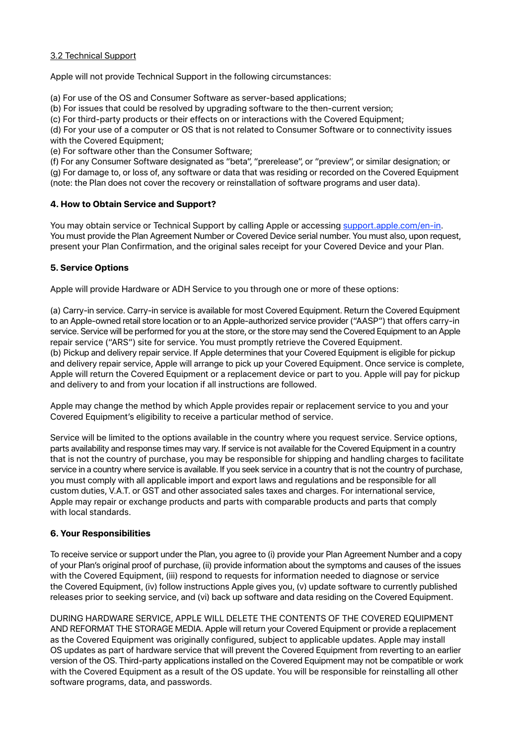### 3.2 Technical Support

Apple will not provide Technical Support in the following circumstances:

(a) For use of the OS and Consumer Software as server-based applications;

(b) For issues that could be resolved by upgrading software to the then-current version;

(c) For third-party products or their effects on or interactions with the Covered Equipment;

(d) For your use of a computer or OS that is not related to Consumer Software or to connectivity issues with the Covered Equipment;

(e) For software other than the Consumer Software;

(f) For any Consumer Software designated as "beta", "prerelease", or "preview", or similar designation; or (g) For damage to, or loss of, any software or data that was residing or recorded on the Covered Equipment (note: the Plan does not cover the recovery or reinstallation of software programs and user data).

# **4. How to Obtain Service and Support?**

You may obtain service or Technical Support by calling Apple or accessing [support.apple.com/en-in](https://support.apple.com/en-in). You must provide the Plan Agreement Number or Covered Device serial number. You must also, upon request, present your Plan Confirmation, and the original sales receipt for your Covered Device and your Plan.

# **5. Service Options**

Apple will provide Hardware or ADH Service to you through one or more of these options:

(a) Carry-in service. Carry-in service is available for most Covered Equipment. Return the Covered Equipment to an Apple-owned retail store location or to an Apple-authorized service provider ("AASP") that offers carry-in service. Service will be performed for you at the store, or the store may send the Covered Equipment to an Apple repair service ("ARS") site for service. You must promptly retrieve the Covered Equipment. (b) Pickup and delivery repair service. If Apple determines that your Covered Equipment is eligible for pickup and delivery repair service, Apple will arrange to pick up your Covered Equipment. Once service is complete, Apple will return the Covered Equipment or a replacement device or part to you. Apple will pay for pickup and delivery to and from your location if all instructions are followed.

Apple may change the method by which Apple provides repair or replacement service to you and your Covered Equipment's eligibility to receive a particular method of service.

Service will be limited to the options available in the country where you request service. Service options, parts availability and response times may vary. If service is not available for the Covered Equipment in a country that is not the country of purchase, you may be responsible for shipping and handling charges to facilitate service in a country where service is available. If you seek service in a country that is not the country of purchase, you must comply with all applicable import and export laws and regulations and be responsible for all custom duties, V.A.T. or GST and other associated sales taxes and charges. For international service, Apple may repair or exchange products and parts with comparable products and parts that comply with local standards.

### **6. Your Responsibilities**

To receive service or support under the Plan, you agree to (i) provide your Plan Agreement Number and a copy of your Plan's original proof of purchase, (ii) provide information about the symptoms and causes of the issues with the Covered Equipment, (iii) respond to requests for information needed to diagnose or service the Covered Equipment, (iv) follow instructions Apple gives you, (v) update software to currently published releases prior to seeking service, and (vi) back up software and data residing on the Covered Equipment.

DURING HARDWARE SERVICE, APPLE WILL DELETE THE CONTENTS OF THE COVERED EQUIPMENT AND REFORMAT THE STORAGE MEDIA. Apple will return your Covered Equipment or provide a replacement as the Covered Equipment was originally configured, subject to applicable updates. Apple may install OS updates as part of hardware service that will prevent the Covered Equipment from reverting to an earlier version of the OS. Third-party applications installed on the Covered Equipment may not be compatible or work with the Covered Equipment as a result of the OS update. You will be responsible for reinstalling all other software programs, data, and passwords.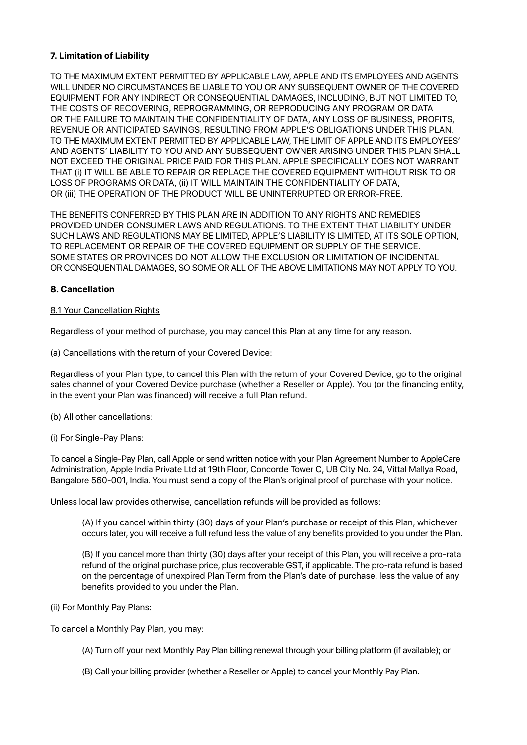### **7. Limitation of Liability**

TO THE MAXIMUM EXTENT PERMITTED BY APPLICABLE LAW, APPLE AND ITS EMPLOYEES AND AGENTS WILL UNDER NO CIRCUMSTANCES BE LIABLE TO YOU OR ANY SUBSEQUENT OWNER OF THE COVERED EQUIPMENT FOR ANY INDIRECT OR CONSEQUENTIAL DAMAGES, INCLUDING, BUT NOT LIMITED TO, THE COSTS OF RECOVERING, REPROGRAMMING, OR REPRODUCING ANY PROGRAM OR DATA OR THE FAILURE TO MAINTAIN THE CONFIDENTIALITY OF DATA, ANY LOSS OF BUSINESS, PROFITS, REVENUE OR ANTICIPATED SAVINGS, RESULTING FROM APPLE'S OBLIGATIONS UNDER THIS PLAN. TO THE MAXIMUM EXTENT PERMITTED BY APPLICABLE LAW, THE LIMIT OF APPLE AND ITS EMPLOYEES' AND AGENTS' LIABILITY TO YOU AND ANY SUBSEQUENT OWNER ARISING UNDER THIS PLAN SHALL NOT EXCEED THE ORIGINAL PRICE PAID FOR THIS PLAN. APPLE SPECIFICALLY DOES NOT WARRANT THAT (i) IT WILL BE ABLE TO REPAIR OR REPLACE THE COVERED EQUIPMENT WITHOUT RISK TO OR LOSS OF PROGRAMS OR DATA, (ii) IT WILL MAINTAIN THE CONFIDENTIALITY OF DATA, OR (iii) THE OPERATION OF THE PRODUCT WILL BE UNINTERRUPTED OR ERROR-FREE.

THE BENEFITS CONFERRED BY THIS PLAN ARE IN ADDITION TO ANY RIGHTS AND REMEDIES PROVIDED UNDER CONSUMER LAWS AND REGULATIONS. TO THE EXTENT THAT LIABILITY UNDER SUCH LAWS AND REGULATIONS MAY BE LIMITED, APPLE'S LIABILITY IS LIMITED, AT ITS SOLE OPTION, TO REPLACEMENT OR REPAIR OF THE COVERED EQUIPMENT OR SUPPLY OF THE SERVICE. SOME STATES OR PROVINCES DO NOT ALLOW THE EXCLUSION OR LIMITATION OF INCIDENTAL OR CONSEQUENTIAL DAMAGES, SO SOME OR ALL OF THE ABOVE LIMITATIONS MAY NOT APPLY TO YOU.

### **8. Cancellation**

### 8.1 Your Cancellation Rights

Regardless of your method of purchase, you may cancel this Plan at any time for any reason.

(a) Cancellations with the return of your Covered Device:

Regardless of your Plan type, to cancel this Plan with the return of your Covered Device, go to the original sales channel of your Covered Device purchase (whether a Reseller or Apple). You (or the financing entity, in the event your Plan was financed) will receive a full Plan refund.

(b) All other cancellations:

(i) For Single-Pay Plans:

To cancel a Single-Pay Plan, call Apple or send written notice with your Plan Agreement Number to AppleCare Administration, Apple India Private Ltd at 19th Floor, Concorde Tower C, UB City No. 24, Vittal Mallya Road, Bangalore 560-001, India. You must send a copy of the Plan's original proof of purchase with your notice.

Unless local law provides otherwise, cancellation refunds will be provided as follows:

(A) If you cancel within thirty (30) days of your Plan's purchase or receipt of this Plan, whichever occurs later, you will receive a full refund less the value of any benefits provided to you under the Plan.

(B) If you cancel more than thirty (30) days after your receipt of this Plan, you will receive a pro-rata refund of the original purchase price, plus recoverable GST, if applicable. The pro-rata refund is based on the percentage of unexpired Plan Term from the Plan's date of purchase, less the value of any benefits provided to you under the Plan.

### (ii) For Monthly Pay Plans:

To cancel a Monthly Pay Plan, you may:

- (A) Turn off your next Monthly Pay Plan billing renewal through your billing platform (if available); or
- (B) Call your billing provider (whether a Reseller or Apple) to cancel your Monthly Pay Plan.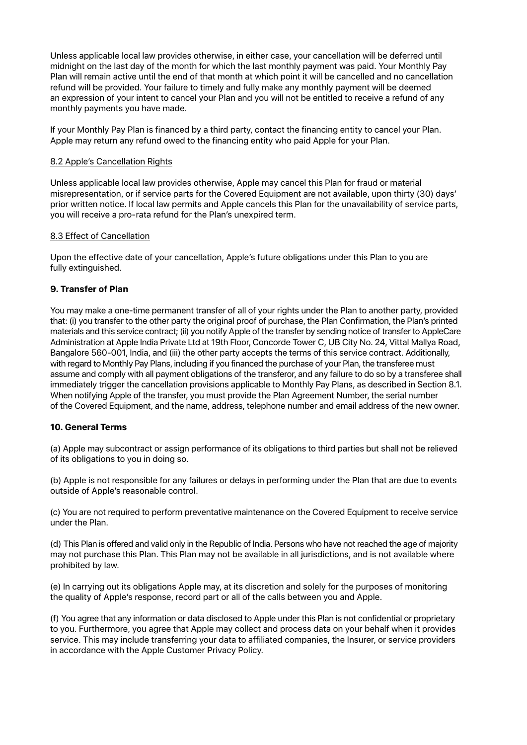Unless applicable local law provides otherwise, in either case, your cancellation will be deferred until midnight on the last day of the month for which the last monthly payment was paid. Your Monthly Pay Plan will remain active until the end of that month at which point it will be cancelled and no cancellation refund will be provided. Your failure to timely and fully make any monthly payment will be deemed an expression of your intent to cancel your Plan and you will not be entitled to receive a refund of any monthly payments you have made.

If your Monthly Pay Plan is financed by a third party, contact the financing entity to cancel your Plan. Apple may return any refund owed to the financing entity who paid Apple for your Plan.

#### 8.2 Apple's Cancellation Rights

Unless applicable local law provides otherwise, Apple may cancel this Plan for fraud or material misrepresentation, or if service parts for the Covered Equipment are not available, upon thirty (30) days' prior written notice. If local law permits and Apple cancels this Plan for the unavailability of service parts, you will receive a pro-rata refund for the Plan's unexpired term.

#### 8.3 Effect of Cancellation

Upon the effective date of your cancellation, Apple's future obligations under this Plan to you are fully extinguished.

### **9. Transfer of Plan**

You may make a one-time permanent transfer of all of your rights under the Plan to another party, provided that: (i) you transfer to the other party the original proof of purchase, the Plan Confirmation, the Plan's printed materials and this service contract; (ii) you notify Apple of the transfer by sending notice of transfer to AppleCare Administration at Apple India Private Ltd at 19th Floor, Concorde Tower C, UB City No. 24, Vittal Mallya Road, Bangalore 560-001, India, and (iii) the other party accepts the terms of this service contract. Additionally, with regard to Monthly Pay Plans, including if you financed the purchase of your Plan, the transferee must assume and comply with all payment obligations of the transferor, and any failure to do so by a transferee shall immediately trigger the cancellation provisions applicable to Monthly Pay Plans, as described in Section 8.1. When notifying Apple of the transfer, you must provide the Plan Agreement Number, the serial number of the Covered Equipment, and the name, address, telephone number and email address of the new owner.

### **10. General Terms**

(a) Apple may subcontract or assign performance of its obligations to third parties but shall not be relieved of its obligations to you in doing so.

(b) Apple is not responsible for any failures or delays in performing under the Plan that are due to events outside of Apple's reasonable control.

(c) You are not required to perform preventative maintenance on the Covered Equipment to receive service under the Plan.

(d) This Plan is offered and valid only in the Republic of India. Persons who have not reached the age of majority may not purchase this Plan. This Plan may not be available in all jurisdictions, and is not available where prohibited by law.

(e) In carrying out its obligations Apple may, at its discretion and solely for the purposes of monitoring the quality of Apple's response, record part or all of the calls between you and Apple.

(f) You agree that any information or data disclosed to Apple under this Plan is not confidential or proprietary to you. Furthermore, you agree that Apple may collect and process data on your behalf when it provides service. This may include transferring your data to affiliated companies, the Insurer, or service providers in accordance with the Apple Customer Privacy Policy.